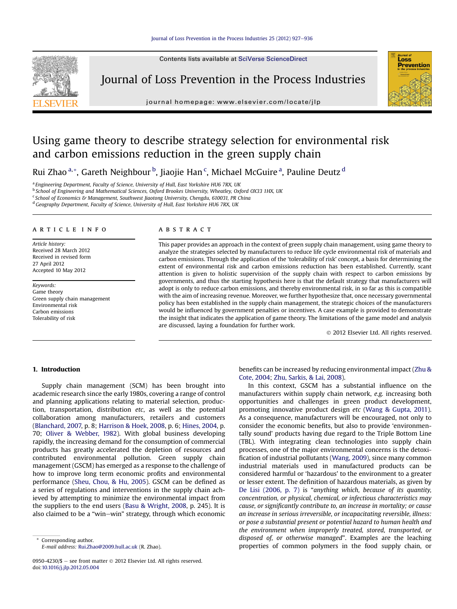Contents lists available at SciVerse ScienceDirect



Journal of Loss Prevention in the Process Industries





# Using game theory to describe strategy selection for environmental risk and carbon emissions reduction in the green supply chain

Rui Zhao<sup>a,</sup>\*, Gareth Neighbour <sup>b</sup>, Jiaojie Han <sup>c</sup>, Michael McGuire <sup>a</sup>, Pauline Deutz <sup>d</sup>

<sup>a</sup> Engineering Department, Faculty of Science, University of Hull, East Yorkshire HU6 7RX, UK <sup>b</sup> School of Engineering and Mathematical Sciences, Oxford Brookes University, Wheatley, Oxford OX33 1HX, UK  $\epsilon$  School of Economics & Management, Southwest Jiaotong University, Chengdu, 610031, PR China

<sup>d</sup> Geography Department, Faculty of Science, University of Hull, East Yorkshire HU6 7RX, UK

#### article info

Article history: Received 28 March 2012 Received in revised form 27 April 2012 Accepted 10 May 2012

Keywords: Game theory Green supply chain management Environmental risk Carbon emissions Tolerability of risk

## ABSTRACT

This paper provides an approach in the context of green supply chain management, using game theory to analyze the strategies selected by manufacturers to reduce life cycle environmental risk of materials and carbon emissions. Through the application of the 'tolerability of risk' concept, a basis for determining the extent of environmental risk and carbon emissions reduction has been established. Currently, scant attention is given to holistic supervision of the supply chain with respect to carbon emissions by governments, and thus the starting hypothesis here is that the default strategy that manufacturers will adopt is only to reduce carbon emissions, and thereby environmental risk, in so far as this is compatible with the aim of increasing revenue. Moreover, we further hypothesize that, once necessary governmental policy has been established in the supply chain management, the strategic choices of the manufacturers would be influenced by government penalties or incentives. A case example is provided to demonstrate the insight that indicates the application of game theory. The limitations of the game model and analysis are discussed, laying a foundation for further work.

2012 Elsevier Ltd. All rights reserved.

#### 1. Introduction

Supply chain management (SCM) has been brought into academic research since the early 1980s, covering a range of control and planning applications relating to material selection, production, transportation, distribution etc, as well as the potential collaboration among manufacturers, retailers and customers ([Blanchard, 2007,](#page--1-0) p. 8; [Harrison & Hoek, 2008,](#page--1-0) p. 6; [Hines, 2004,](#page--1-0) p. 70; [Oliver & Webber, 1982](#page--1-0)). With global business developing rapidly, the increasing demand for the consumption of commercial products has greatly accelerated the depletion of resources and contributed environmental pollution. Green supply chain management (GSCM) has emerged as a response to the challenge of how to improve long term economic profits and environmental performance [\(Sheu, Chou, & Hu, 2005](#page--1-0)). GSCM can be defined as a series of regulations and interventions in the supply chain achieved by attempting to minimize the environmental impact from the suppliers to the end users [\(Basu & Wright, 2008,](#page--1-0) p. 245). It is also claimed to be a "win-win" strategy, through which economic

Corresponding author. E-mail address: [Rui.Zhao@2009.hull.ac.uk](mailto:Rui.Zhao@2009.hull.ac.uk) (R. Zhao). benefits can be increased by reducing environmental impact ([Zhu &](#page--1-0) [Cote, 2004;](#page--1-0) [Zhu, Sarkis, & Lai, 2008](#page--1-0)).

In this context, GSCM has a substantial influence on the manufacturers within supply chain network, e.g. increasing both opportunities and challenges in green product development, promoting innovative product design etc ([Wang & Gupta, 2011\)](#page--1-0). As a consequence, manufacturers will be encouraged, not only to consider the economic benefits, but also to provide 'environmentally sound' products having due regard to the Triple Bottom Line (TBL). With integrating clean technologies into supply chain processes, one of the major environmental concerns is the detoxification of industrial pollutants ([Wang, 2009](#page--1-0)), since many common industrial materials used in manufactured products can be considered harmful or 'hazardous' to the environment to a greater or lesser extent. The definition of hazardous materials, as given by [De Lisi \(2006, p. 7\)](#page--1-0) is "anything which, because of its quantity, concentration, or physical, chemical, or infectious characteristics may cause, or significantly contribute to, an increase in mortality; or cause an increase in serious irreversible, or incapacitating reversible, illness: or pose a substantial present or potential hazard to human health and the environment when improperly treated, stored, transported, or disposed of, or otherwise managed". Examples are the leaching properties of common polymers in the food supply chain, or

<sup>0950-4230/\$ -</sup> see front matter  $\odot$  2012 Elsevier Ltd. All rights reserved. doi[:10.1016/j.jlp.2012.05.004](http://dx.doi.org/10.1016/j.jlp.2012.05.004)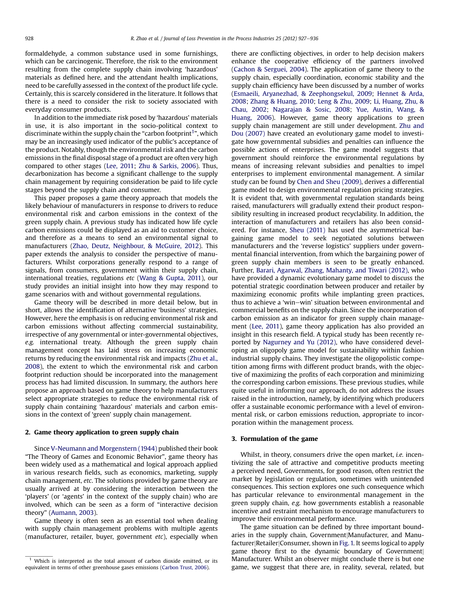formaldehyde, a common substance used in some furnishings, which can be carcinogenic. Therefore, the risk to the environment resulting from the complete supply chain involving 'hazardous' materials as defined here, and the attendant health implications, need to be carefully assessed in the context of the product life cycle. Certainly, this is scarcely considered in the literature. It follows that there is a need to consider the risk to society associated with everyday consumer products.

In addition to the immediate risk posed by 'hazardous' materials in use, it is also important in the socio-political context to discriminate within the supply chain the "carbon footprint $^{\rm 1}$ ", which may be an increasingly used indicator of the public's acceptance of the product. Notably, though the environmental risk and the carbon emissions in the final disposal stage of a product are often very high compared to other stages ([Lee, 2011;](#page--1-0) [Zhu & Sarkis, 2006](#page--1-0)). Thus, decarbonization has become a significant challenge to the supply chain management by requiring consideration be paid to life cycle stages beyond the supply chain and consumer.

This paper proposes a game theory approach that models the likely behaviour of manufacturers in response to drivers to reduce environmental risk and carbon emissions in the context of the green supply chain. A previous study has indicated how life cycle carbon emissions could be displayed as an aid to customer choice, and therefore as a means to send an environmental signal to manufacturers ([Zhao, Deutz, Neighbour, & McGuire, 2012](#page--1-0)). This paper extends the analysis to consider the perspective of manufacturers. Whilst corporations generally respond to a range of signals, from consumers, government within their supply chain, international treaties, regulations etc ([Wang & Gupta, 2011](#page--1-0)), our study provides an initial insight into how they may respond to game scenarios with and without governmental regulations.

Game theory will be described in more detail below, but in short, allows the identification of alternative 'business' strategies. However, here the emphasis is on reducing environmental risk and carbon emissions without affecting commercial sustainability, irrespective of any governmental or inter-governmental objectives, e.g. international treaty. Although the green supply chain management concept has laid stress on increasing economic returns by reducing the environmental risk and impacts ([Zhu et al.,](#page--1-0) [2008](#page--1-0)), the extent to which the environmental risk and carbon footprint reduction should be incorporated into the management process has had limited discussion. In summary, the authors here propose an approach based on game theory to help manufacturers select appropriate strategies to reduce the environmental risk of supply chain containing 'hazardous' materials and carbon emissions in the context of 'green' supply chain management.

### 2. Game theory application to green supply chain

Since [V-Neumann and Morgenstern \(1944\)](#page--1-0) published their book "The Theory of Games and Economic Behavior", game theory has been widely used as a mathematical and logical approach applied in various research fields, such as economics, marketing, supply chain management, etc. The solutions provided by game theory are usually arrived at by considering the interaction between the 'players' (or 'agents' in the context of the supply chain) who are involved, which can be seen as a form of "interactive decision theory" ([Aumann, 2003](#page--1-0)).

Game theory is often seen as an essential tool when dealing with supply chain management problems with multiple agents (manufacturer, retailer, buyer, government etc), especially when there are conflicting objectives, in order to help decision makers enhance the cooperative efficiency of the partners involved ([Cachon & Serguei, 2004](#page--1-0)). The application of game theory to the supply chain, especially coordination, economic stability and the supply chain efficiency have been discussed by a number of works ([Esmaeili, Aryanezhad, & Zeephongsekul, 2009;](#page--1-0) [Hennet & Arda,](#page--1-0) [2008](#page--1-0); [Zhang & Huang, 2010;](#page--1-0) [Leng & Zhu, 2009;](#page--1-0) [Li, Huang, Zhu, &](#page--1-0) [Chau, 2002;](#page--1-0) [Nagarajan & Sosic, 2008](#page--1-0); [Yue, Austin, Wang, &](#page--1-0) [Huang, 2006](#page--1-0)). However, game theory applications to green supply chain management are still under development. [Zhu and](#page--1-0) [Dou \(2007\)](#page--1-0) have created an evolutionary game model to investigate how governmental subsidies and penalties can influence the possible actions of enterprises. The game model suggests that government should reinforce the environmental regulations by means of increasing relevant subsidies and penalties to impel enterprises to implement environmental management. A similar study can be found by [Chen and Sheu \(2009\)](#page--1-0), derives a differential game model to design environmental regulation pricing strategies. It is evident that, with governmental regulation standards being raised, manufacturers will gradually extend their product responsibility resulting in increased product recyclability. In addition, the interaction of manufacturers and retailers has also been considered. For instance, [Sheu \(2011\)](#page--1-0) has used the asymmetrical bargaining game model to seek negotiated solutions between manufacturers and the 'reverse logistics' suppliers under governmental financial intervention, from which the bargaining power of green supply chain members is seen to be greatly enhanced. Further, [Barari, Agarwal, Zhang, Mahanty, and Tiwari \(2012\)](#page--1-0), who have provided a dynamic evolutionary game model to discuss the potential strategic coordination between producer and retailer by maximizing economic profits while implanting green practices, thus to achieve a 'win-win' situation between environmental and commercial benefits on the supply chain. Since the incorporation of carbon emission as an indicator for green supply chain management [\(Lee, 2011](#page--1-0)), game theory application has also provided an insight in this research field. A typical study has been recently reported by [Nagurney and Yu \(2012\),](#page--1-0) who have considered developing an oligopoly game model for sustainability within fashion industrial supply chains. They investigate the oligopolistic competition among firms with different product brands, with the objective of maximizing the profits of each corporation and minimizing the corresponding carbon emissions. These previous studies, while quite useful in informing our approach, do not address the issues raised in the introduction, namely, by identifying which producers offer a sustainable economic performance with a level of environmental risk, or carbon emissions reduction, appropriate to incorporation within the management process.

#### 3. Formulation of the game

Whilst, in theory, consumers drive the open market, *i.e.* incentivizing the sale of attractive and competitive products meeting a perceived need, Governments, for good reason, often restrict the market by legislation or regulation, sometimes with unintended consequences. This section explores one such consequence which has particular relevance to environmental management in the green supply chain, e.g. how governments establish a reasonable incentive and restraint mechanism to encourage manufacturers to improve their environmental performance.

The game situation can be defined by three important boundaries in the supply chain, Government|Manufacturer, and Manu-facturer|Retailer|Consumer, shown in [Fig. 1.](#page--1-0) It seems logical to apply game theory first to the dynamic boundary of Government Manufacturer. Whilst an observer might conclude there is but one game, we suggest that there are, in reality, several, related, but

 $1$  Which is interpreted as the total amount of carbon dioxide emitted, or its equivalent in terms of other greenhouse gases emissions [\(Carbon Trust, 2006](#page--1-0)).